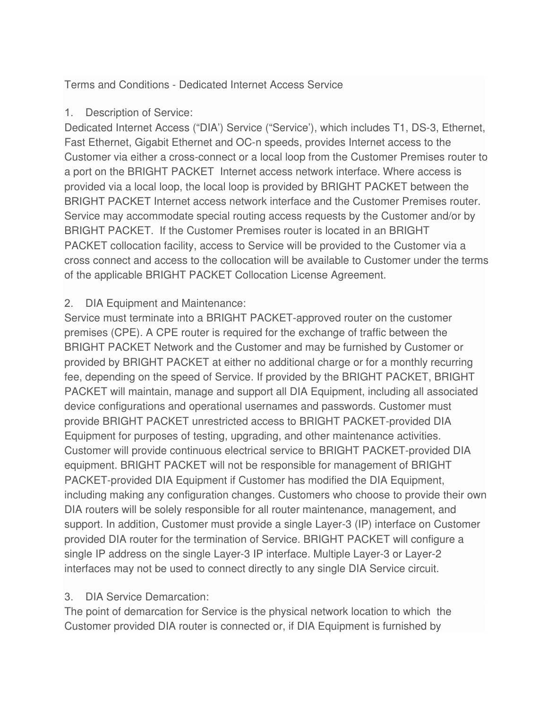Terms and Conditions - Dedicated Internet Access Service

1. Description of Service:

Dedicated Internet Access ("DIA') Service ("Service'), which includes T1, DS-3, Ethernet, Fast Ethernet, Gigabit Ethernet and OC-n speeds, provides Internet access to the Customer via either a cross-connect or a local loop from the Customer Premises router to a port on the BRIGHT PACKET Internet access network interface. Where access is provided via a local loop, the local loop is provided by BRIGHT PACKET between the BRIGHT PACKET Internet access network interface and the Customer Premises router. Service may accommodate special routing access requests by the Customer and/or by BRIGHT PACKET. If the Customer Premises router is located in an BRIGHT PACKET collocation facility, access to Service will be provided to the Customer via a cross connect and access to the collocation will be available to Customer under the terms of the applicable BRIGHT PACKET Collocation License Agreement.

# 2. DIA Equipment and Maintenance:

Service must terminate into a BRIGHT PACKET-approved router on the customer premises (CPE). A CPE router is required for the exchange of traffic between the BRIGHT PACKET Network and the Customer and may be furnished by Customer or provided by BRIGHT PACKET at either no additional charge or for a monthly recurring fee, depending on the speed of Service. If provided by the BRIGHT PACKET, BRIGHT PACKET will maintain, manage and support all DIA Equipment, including all associated device configurations and operational usernames and passwords. Customer must provide BRIGHT PACKET unrestricted access to BRIGHT PACKET-provided DIA Equipment for purposes of testing, upgrading, and other maintenance activities. Customer will provide continuous electrical service to BRIGHT PACKET-provided DIA equipment. BRIGHT PACKET will not be responsible for management of BRIGHT PACKET-provided DIA Equipment if Customer has modified the DIA Equipment, including making any configuration changes. Customers who choose to provide their own DIA routers will be solely responsible for all router maintenance, management, and support. In addition, Customer must provide a single Layer-3 (IP) interface on Customer provided DIA router for the termination of Service. BRIGHT PACKET will configure a single IP address on the single Layer-3 IP interface. Multiple Layer-3 or Layer-2 interfaces may not be used to connect directly to any single DIA Service circuit.

# 3. DIA Service Demarcation:

The point of demarcation for Service is the physical network location to which the Customer provided DIA router is connected or, if DIA Equipment is furnished by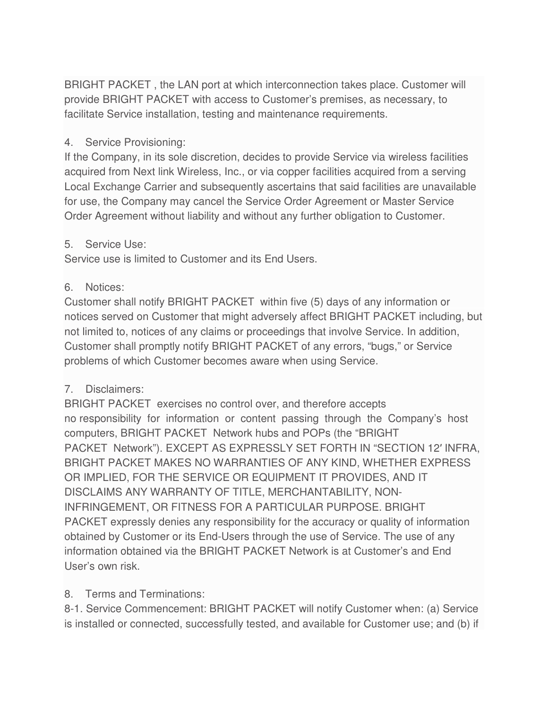BRIGHT PACKET , the LAN port at which interconnection takes place. Customer will provide BRIGHT PACKET with access to Customer's premises, as necessary, to facilitate Service installation, testing and maintenance requirements.

### 4. Service Provisioning:

If the Company, in its sole discretion, decides to provide Service via wireless facilities acquired from Next link Wireless, Inc., or via copper facilities acquired from a serving Local Exchange Carrier and subsequently ascertains that said facilities are unavailable for use, the Company may cancel the Service Order Agreement or Master Service Order Agreement without liability and without any further obligation to Customer.

#### 5. Service Use:

Service use is limited to Customer and its End Users.

### 6. Notices:

Customer shall notify BRIGHT PACKET within five (5) days of any information or notices served on Customer that might adversely affect BRIGHT PACKET including, but not limited to, notices of any claims or proceedings that involve Service. In addition, Customer shall promptly notify BRIGHT PACKET of any errors, "bugs," or Service problems of which Customer becomes aware when using Service.

## 7. Disclaimers:

BRIGHT PACKET exercises no control over, and therefore accepts no responsibility for information or content passing through the Company's host computers, BRIGHT PACKET Network hubs and POPs (the "BRIGHT PACKET Network"). EXCEPT AS EXPRESSLY SET FORTH IN "SECTION 12 INFRA, BRIGHT PACKET MAKES NO WARRANTIES OF ANY KIND, WHETHER EXPRESS OR IMPLIED, FOR THE SERVICE OR EQUIPMENT IT PROVIDES, AND IT DISCLAIMS ANY WARRANTY OF TITLE, MERCHANTABILITY, NON-INFRINGEMENT, OR FITNESS FOR A PARTICULAR PURPOSE. BRIGHT PACKET expressly denies any responsibility for the accuracy or quality of information obtained by Customer or its End-Users through the use of Service. The use of any information obtained via the BRIGHT PACKET Network is at Customer's and End User's own risk.

## 8. Terms and Terminations:

8-1. Service Commencement: BRIGHT PACKET will notify Customer when: (a) Service is installed or connected, successfully tested, and available for Customer use; and (b) if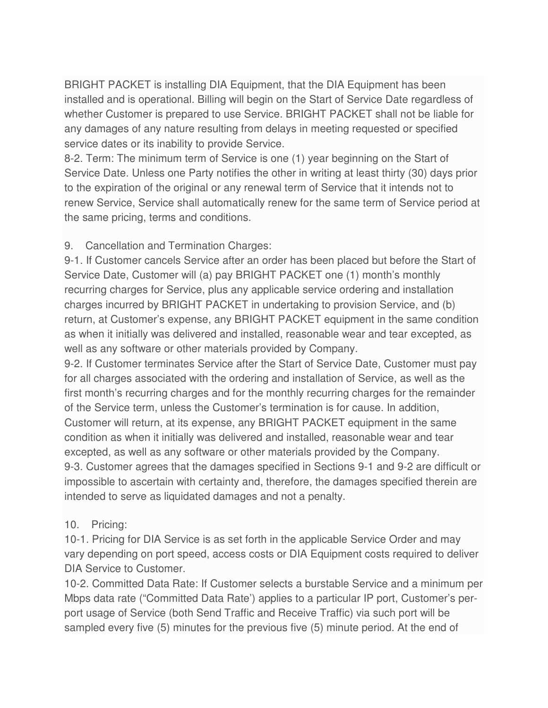BRIGHT PACKET is installing DIA Equipment, that the DIA Equipment has been installed and is operational. Billing will begin on the Start of Service Date regardless of whether Customer is prepared to use Service. BRIGHT PACKET shall not be liable for any damages of any nature resulting from delays in meeting requested or specified service dates or its inability to provide Service.

8-2. Term: The minimum term of Service is one (1) year beginning on the Start of Service Date. Unless one Party notifies the other in writing at least thirty (30) days prior to the expiration of the original or any renewal term of Service that it intends not to renew Service, Service shall automatically renew for the same term of Service period at the same pricing, terms and conditions.

### 9. Cancellation and Termination Charges:

9-1. If Customer cancels Service after an order has been placed but before the Start of Service Date, Customer will (a) pay BRIGHT PACKET one (1) month's monthly recurring charges for Service, plus any applicable service ordering and installation charges incurred by BRIGHT PACKET in undertaking to provision Service, and (b) return, at Customer's expense, any BRIGHT PACKET equipment in the same condition as when it initially was delivered and installed, reasonable wear and tear excepted, as well as any software or other materials provided by Company.

9-2. If Customer terminates Service after the Start of Service Date, Customer must pay for all charges associated with the ordering and installation of Service, as well as the first month's recurring charges and for the monthly recurring charges for the remainder of the Service term, unless the Customer's termination is for cause. In addition, Customer will return, at its expense, any BRIGHT PACKET equipment in the same condition as when it initially was delivered and installed, reasonable wear and tear excepted, as well as any software or other materials provided by the Company. 9-3. Customer agrees that the damages specified in Sections 9-1 and 9-2 are difficult or impossible to ascertain with certainty and, therefore, the damages specified therein are intended to serve as liquidated damages and not a penalty.

#### 10. Pricing:

10-1. Pricing for DIA Service is as set forth in the applicable Service Order and may vary depending on port speed, access costs or DIA Equipment costs required to deliver DIA Service to Customer.

10-2. Committed Data Rate: If Customer selects a burstable Service and a minimum per Mbps data rate ("Committed Data Rate') applies to a particular IP port, Customer's perport usage of Service (both Send Traffic and Receive Traffic) via such port will be sampled every five (5) minutes for the previous five (5) minute period. At the end of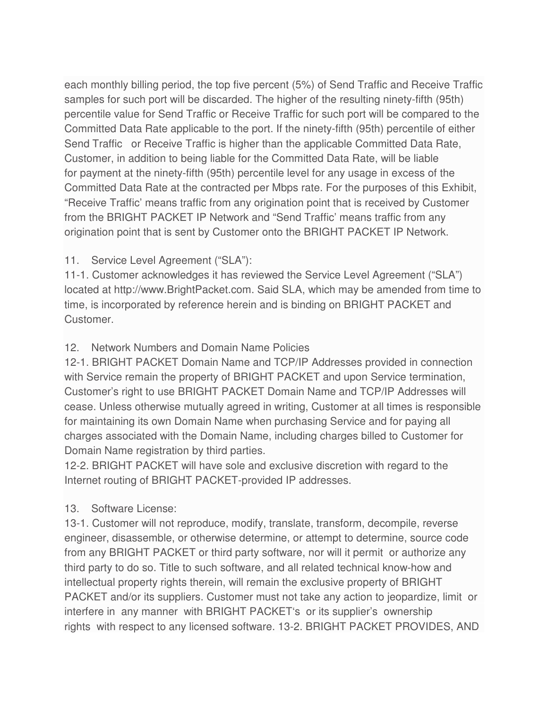each monthly billing period, the top five percent (5%) of Send Traffic and Receive Traffic samples for such port will be discarded. The higher of the resulting ninety-fifth (95th) percentile value for Send Traffic or Receive Traffic for such port will be compared to the Committed Data Rate applicable to the port. If the ninety-fifth (95th) percentile of either Send Traffic or Receive Traffic is higher than the applicable Committed Data Rate, Customer, in addition to being liable for the Committed Data Rate, will be liable for payment at the ninety-fifth (95th) percentile level for any usage in excess of the Committed Data Rate at the contracted per Mbps rate. For the purposes of this Exhibit, "Receive Traffic' means traffic from any origination point that is received by Customer from the BRIGHT PACKET IP Network and "Send Traffic' means traffic from any origination point that is sent by Customer onto the BRIGHT PACKET IP Network.

# 11. Service Level Agreement ("SLA"):

11-1. Customer acknowledges it has reviewed the Service Level Agreement ("SLA") located at http://www.BrightPacket.com. Said SLA, which may be amended from time to time, is incorporated by reference herein and is binding on BRIGHT PACKET and Customer.

### 12. Network Numbers and Domain Name Policies

12-1. BRIGHT PACKET Domain Name and TCP/IP Addresses provided in connection with Service remain the property of BRIGHT PACKET and upon Service termination, Customer's right to use BRIGHT PACKET Domain Name and TCP/IP Addresses will cease. Unless otherwise mutually agreed in writing, Customer at all times is responsible for maintaining its own Domain Name when purchasing Service and for paying all charges associated with the Domain Name, including charges billed to Customer for Domain Name registration by third parties.

12-2. BRIGHT PACKET will have sole and exclusive discretion with regard to the Internet routing of BRIGHT PACKET-provided IP addresses.

## 13. Software License:

13-1. Customer will not reproduce, modify, translate, transform, decompile, reverse engineer, disassemble, or otherwise determine, or attempt to determine, source code from any BRIGHT PACKET or third party software, nor will it permit or authorize any third party to do so. Title to such software, and all related technical know-how and intellectual property rights therein, will remain the exclusive property of BRIGHT PACKET and/or its suppliers. Customer must not take any action to jeopardize, limit or interfere in any manner with BRIGHT PACKET's or its supplier's ownership rights with respect to any licensed software. 13-2. BRIGHT PACKET PROVIDES, AND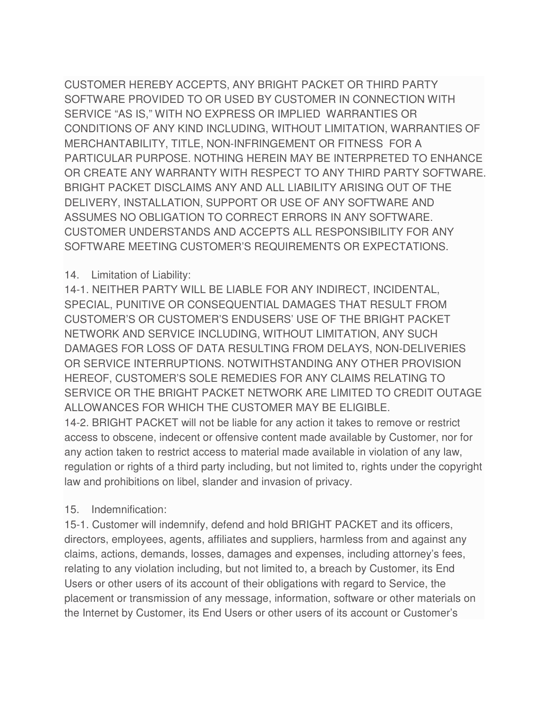CUSTOMER HEREBY ACCEPTS, ANY BRIGHT PACKET OR THIRD PARTY SOFTWARE PROVIDED TO OR USED BY CUSTOMER IN CONNECTION WITH SERVICE "AS IS," WITH NO EXPRESS OR IMPLIED WARRANTIES OR CONDITIONS OF ANY KIND INCLUDING, WITHOUT LIMITATION, WARRANTIES OF MERCHANTABILITY, TITLE, NON-INFRINGEMENT OR FITNESS FOR A PARTICULAR PURPOSE. NOTHING HEREIN MAY BE INTERPRETED TO ENHANCE OR CREATE ANY WARRANTY WITH RESPECT TO ANY THIRD PARTY SOFTWARE. BRIGHT PACKET DISCLAIMS ANY AND ALL LIABILITY ARISING OUT OF THE DELIVERY, INSTALLATION, SUPPORT OR USE OF ANY SOFTWARE AND ASSUMES NO OBLIGATION TO CORRECT ERRORS IN ANY SOFTWARE. CUSTOMER UNDERSTANDS AND ACCEPTS ALL RESPONSIBILITY FOR ANY SOFTWARE MEETING CUSTOMER'S REQUIREMENTS OR EXPECTATIONS.

### 14. Limitation of Liability:

14-1. NEITHER PARTY WILL BE LIABLE FOR ANY INDIRECT, INCIDENTAL, SPECIAL, PUNITIVE OR CONSEQUENTIAL DAMAGES THAT RESULT FROM CUSTOMER'S OR CUSTOMER'S ENDUSERS' USE OF THE BRIGHT PACKET NETWORK AND SERVICE INCLUDING, WITHOUT LIMITATION, ANY SUCH DAMAGES FOR LOSS OF DATA RESULTING FROM DELAYS, NON-DELIVERIES OR SERVICE INTERRUPTIONS. NOTWITHSTANDING ANY OTHER PROVISION HEREOF, CUSTOMER'S SOLE REMEDIES FOR ANY CLAIMS RELATING TO SERVICE OR THE BRIGHT PACKET NETWORK ARE LIMITED TO CREDIT OUTAGE ALLOWANCES FOR WHICH THE CUSTOMER MAY BE ELIGIBLE. 14-2. BRIGHT PACKET will not be liable for any action it takes to remove or restrict access to obscene, indecent or offensive content made available by Customer, nor for any action taken to restrict access to material made available in violation of any law, regulation or rights of a third party including, but not limited to, rights under the copyright law and prohibitions on libel, slander and invasion of privacy.

#### 15. Indemnification:

15-1. Customer will indemnify, defend and hold BRIGHT PACKET and its officers, directors, employees, agents, affiliates and suppliers, harmless from and against any claims, actions, demands, losses, damages and expenses, including attorney's fees, relating to any violation including, but not limited to, a breach by Customer, its End Users or other users of its account of their obligations with regard to Service, the placement or transmission of any message, information, software or other materials on the Internet by Customer, its End Users or other users of its account or Customer's